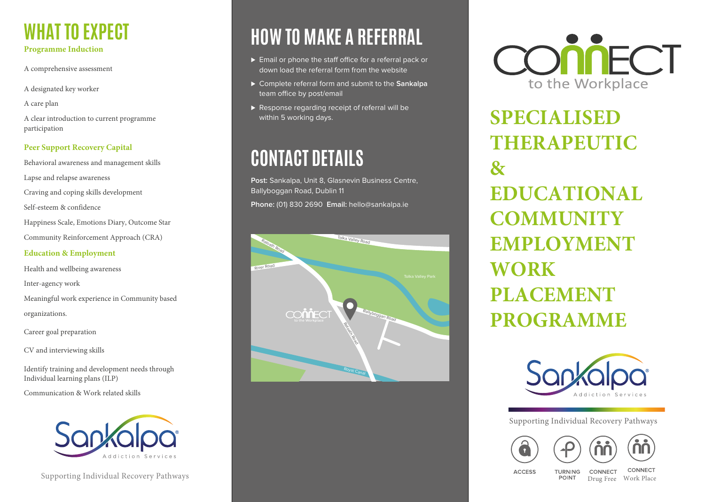# **WHAT TO EXPECT**

#### **Programme Induction**

- A comprehensive assessment
- A designated key worker
- A care plan
- A clear introduction to current programme participation

#### **Peer Support Recovery Capital**

- Behavioral awareness and management skills
- Lapse and relapse awareness
- Craving and coping skills development
- Self-esteem & confidence
- Happiness Scale, Emotions Diary, Outcome Star
- Community Reinforcement Approach (CRA)

#### **Education & Employment**

- Health and wellbeing awareness Inter-agency work Meaningful work experience in Community based
- organizations.
- Career goal preparation
- CV and interviewing skills
- Identify training and development needs through Individual learning plans (ILP)
- Communication & Work related skills



Supporting Individual Recovery Pathways

## **HOW TO MAKE A REFERRAL**

- ► Email or phone the staff office for a referral pack or down load the referral form from the website
- ⊲ Complete referral form and submit to the **Sankalpa** team office by post/email
- ▶ Response regarding receipt of referral will be within 5 working days.

### **CONTACT DETAILS**

**Post:** Sankalpa, Unit 8, Glasnevin Business Centre, Ballyboggan Road, Dublin 11 **Phone:** (01) 830 2690 **Email:** hello@sankalpa.ie





**SPECIALISED THERAPEUTIC**   $\mathbf{R}_{\mathcal{I}}$ **EDUCATIONAL COMMUNITY EMPLOYMENT WORK PLACEMENT PROGRAMME**



Supporting Individual Recovery Pathways





**ACCESS** 

**TURNING** CONNECT POINT

CONNECT Drug Free Work Place